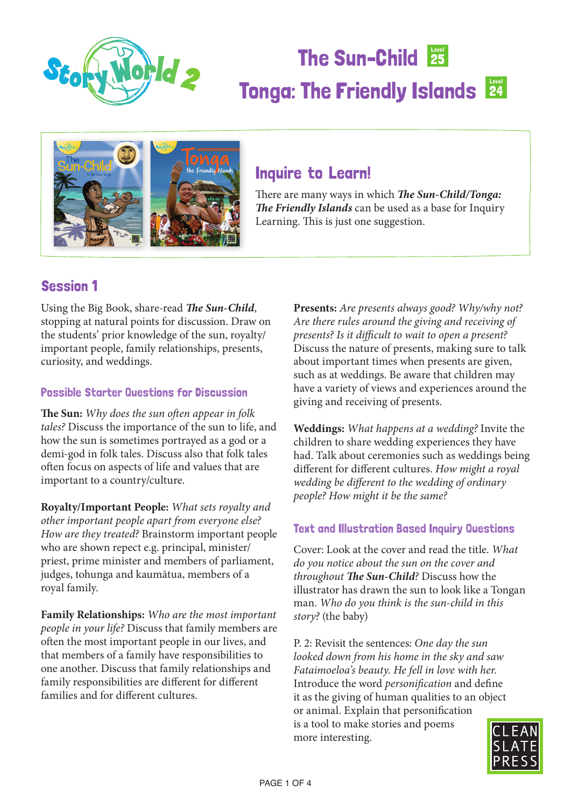

# The Sun-Child 25 Tonga: The Friendly Islands 24



### Inquire to Learn!

There are many ways in which *The Sun-Child/Tonga: The Friendly Islands* can be used as a base for Inquiry Learning. This is just one suggestion.

### Session 1

Using the Big Book, share-read *The Sun-Child*, stopping at natural points for discussion. Draw on the students' prior knowledge of the sun, royalty/ important people, family relationships, presents, curiosity, and weddings.

#### Possible Starter Questions for Discussion

**The Sun:** *Why does the sun often appear in folk tales?* Discuss the importance of the sun to life, and how the sun is sometimes portrayed as a god or a demi-god in folk tales. Discuss also that folk tales often focus on aspects of life and values that are important to a country/culture.

**Royalty/Important People:** *What sets royalty and other important people apart from everyone else? How are they treated?* Brainstorm important people who are shown repect e.g. principal, minister/ priest, prime minister and members of parliament, judges, tohunga and kaumātua, members of a royal family.

**Family Relationships:** *Who are the most important people in your life?* Discuss that family members are often the most important people in our lives, and that members of a family have responsibilities to one another. Discuss that family relationships and family responsibilities are different for different families and for different cultures.

**Presents:** *Are presents always good? Why/why not? Are there rules around the giving and receiving of presents? Is it difficult to wait to open a present?*  Discuss the nature of presents, making sure to talk about important times when presents are given, such as at weddings. Be aware that children may have a variety of views and experiences around the giving and receiving of presents.

**Weddings:** *What happens at a wedding?* Invite the children to share wedding experiences they have had. Talk about ceremonies such as weddings being different for different cultures. *How might a royal wedding be different to the wedding of ordinary people? How might it be the same?*

#### Text and Illustration Based Inquiry Questions

Cover: Look at the cover and read the title. *What do you notice about the sun on the cover and throughout The Sun-Child?* Discuss how the illustrator has drawn the sun to look like a Tongan man. *Who do you think is the sun-child in this story?* (the baby)

P. 2: Revisit the sentences: *One day the sun looked down from his home in the sky and saw Fataimoeloa's beauty. He fell in love with her.*  Introduce the word *personification* and define it as the giving of human qualities to an object or animal. Explain that personification is a tool to make stories and poems more interesting.

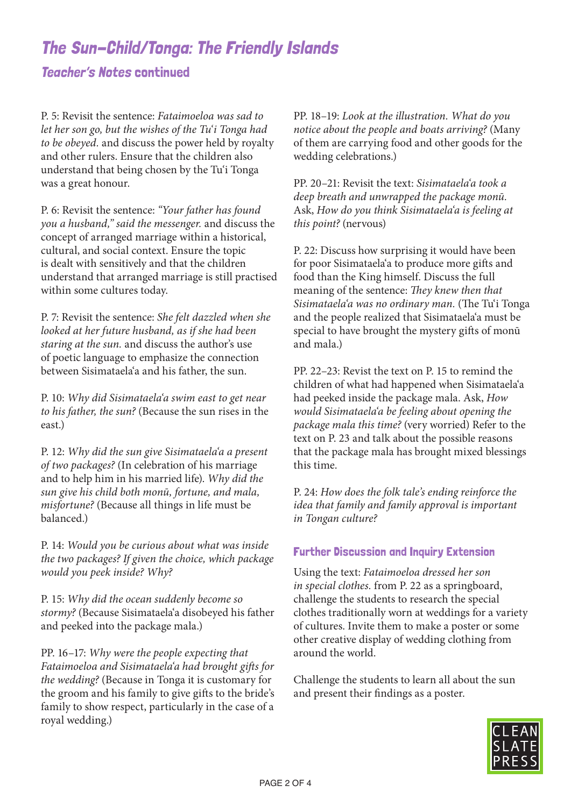# The Sun-Child/Tonga: The Friendly Islands

#### Teacher's Notes continued

P. 5: Revisit the sentence: *Fataimoeloa was sad to let her son go, but the wishes of the Tu'i Tonga had to be obeyed.* and discuss the power held by royalty and other rulers. Ensure that the children also understand that being chosen by the Tu*'*i Tonga was a great honour.

P. 6: Revisit the sentence: *"Your father has found you a husband," said the messenger.* and discuss the concept of arranged marriage within a historical, cultural, and social context. Ensure the topic is dealt with sensitively and that the children understand that arranged marriage is still practised within some cultures today.

P. 7: Revisit the sentence: *She felt dazzled when she looked at her future husband, as if she had been staring at the sun.* and discuss the author's use of poetic language to emphasize the connection between Sisimataela'a and his father, the sun.

P. 10: *Why did Sisimataela'a swim east to get near to his father, the sun?* (Because the sun rises in the east.)

P. 12: *Why did the sun give Sisimataela'a a present of two packages?* (In celebration of his marriage and to help him in his married life). *Why did the sun give his child both monū, fortune, and mala, misfortune?* (Because all things in life must be balanced.)

P. 14: *Would you be curious about what was inside the two packages? If given the choice, which package would you peek inside? Why?*

P. 15: *Why did the ocean suddenly become so stormy?* (Because Sisimataela'a disobeyed his father and peeked into the package mala.)

PP. 16–17: *Why were the people expecting that Fataimoeloa and Sisimataela'a had brought gifts for the wedding?* (Because in Tonga it is customary for the groom and his family to give gifts to the bride's family to show respect, particularly in the case of a royal wedding.)

PP. 18–19: *Look at the illustration. What do you notice about the people and boats arriving?* (Many of them are carrying food and other goods for the wedding celebrations.)

PP. 20–21: Revisit the text: *Sisimataela'a took a deep breath and unwrapped the package monū.*  Ask, *How do you think Sisimataela'a is feeling at this point?* (nervous)

P. 22: Discuss how surprising it would have been for poor Sisimataela'a to produce more gifts and food than the King himself. Discuss the full meaning of the sentence: *They knew then that Sisimataela'a was no ordinary man.* (The Tu'i Tonga and the people realized that Sisimataela'a must be special to have brought the mystery gifts of monū and mala.)

PP. 22–23: Revist the text on P. 15 to remind the children of what had happened when Sisimataela'a had peeked inside the package mala. Ask, *How would Sisimataela'a be feeling about opening the package mala this time?* (very worried) Refer to the text on P. 23 and talk about the possible reasons that the package mala has brought mixed blessings this time.

P. 24: *How does the folk tale's ending reinforce the idea that family and family approval is important in Tongan culture?*

#### Further Discussion and Inquiry Extension

Using the text: *Fataimoeloa dressed her son in special clothes.* from P. 22 as a springboard, challenge the students to research the special clothes traditionally worn at weddings for a variety of cultures. Invite them to make a poster or some other creative display of wedding clothing from around the world.

Challenge the students to learn all about the sun and present their findings as a poster.

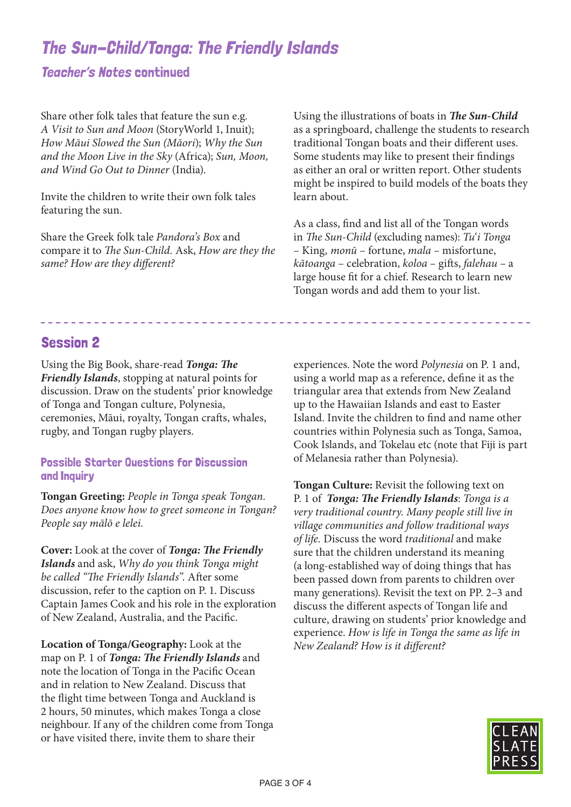## The Sun-Child/Tonga: The Friendly Islands

#### Teacher's Notes continued

Share other folk tales that feature the sun e.g. *A Visit to Sun and Moon* (StoryWorld 1, Inuit); *How Māui Slowed the Sun (Māori*); *Why the Sun and the Moon Live in the Sky* (Africa); *Sun, Moon, and Wind Go Out to Dinner* (India).

Invite the children to write their own folk tales featuring the sun.

Share the Greek folk tale *Pandora's Box* and compare it to *The Sun-Child.* Ask, *How are they the same? How are they different?*

Using the illustrations of boats in *The Sun-Child* as a springboard, challenge the students to research traditional Tongan boats and their different uses. Some students may like to present their findings as either an oral or written report. Other students might be inspired to build models of the boats they learn about.

As a class, find and list all of the Tongan words in *The Sun-Child* (excluding names): *Tu'i Tonga –* King*, monū* – fortune, *mala –* misfortune, *kātoanga* – celebration, *koloa –* gifts, *falehau –* a large house fit for a chief. Research to learn new Tongan words and add them to your list.

#### Session 2

Using the Big Book, share-read *Tonga: The Friendly Islands*, stopping at natural points for discussion. Draw on the students' prior knowledge of Tonga and Tongan culture, Polynesia, ceremonies, Māui, royalty, Tongan crafts, whales, rugby, and Tongan rugby players.

#### Possible Starter Questions for Discussion and Inquiry

**Tongan Greeting:** *People in Tonga speak Tongan. Does anyone know how to greet someone in Tongan? People say mālō e lelei.*

**Cover:** Look at the cover of *Tonga: The Friendly Islands* and ask, *Why do you think Tonga might be called "The Friendly Islands".* After some discussion, refer to the caption on P. 1. Discuss Captain James Cook and his role in the exploration of New Zealand, Australia, and the Pacific.

**Location of Tonga/Geography:** Look at the map on P. 1 of *Tonga: The Friendly Islands* and note the location of Tonga in the Pacific Ocean and in relation to New Zealand. Discuss that the flight time between Tonga and Auckland is 2 hours, 50 minutes, which makes Tonga a close neighbour. If any of the children come from Tonga or have visited there, invite them to share their

experiences. Note the word *Polynesia* on P. 1 and, using a world map as a reference, define it as the triangular area that extends from New Zealand up to the Hawaiian Islands and east to Easter Island. Invite the children to find and name other countries within Polynesia such as Tonga, Samoa, Cook Islands, and Tokelau etc (note that Fiji is part of Melanesia rather than Polynesia).

**Tongan Culture:** Revisit the following text on P. 1 of *Tonga: The Friendly Islands*: *Tonga is a very traditional country. Many people still live in village communities and follow traditional ways of life.* Discuss the word *traditional* and make sure that the children understand its meaning (a long-established way of doing things that has been passed down from parents to children over many generations). Revisit the text on PP. 2–3 and discuss the different aspects of Tongan life and culture, drawing on students' prior knowledge and experience. *How is life in Tonga the same as life in New Zealand? How is it different?*